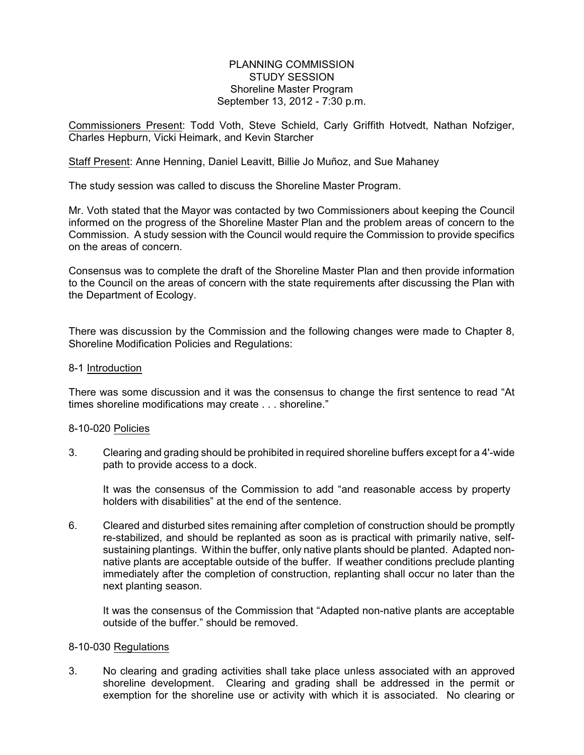## PLANNING COMMISSION STUDY SESSION Shoreline Master Program September 13, 2012 - 7:30 p.m.

Commissioners Present: Todd Voth, Steve Schield, Carly Griffith Hotvedt, Nathan Nofziger, Charles Hepburn, Vicki Heimark, and Kevin Starcher

Staff Present: Anne Henning, Daniel Leavitt, Billie Jo Muñoz, and Sue Mahaney

The study session was called to discuss the Shoreline Master Program.

Mr. Voth stated that the Mayor was contacted by two Commissioners about keeping the Council informed on the progress of the Shoreline Master Plan and the problem areas of concern to the Commission. A study session with the Council would require the Commission to provide specifics on the areas of concern.

Consensus was to complete the draft of the Shoreline Master Plan and then provide information to the Council on the areas of concern with the state requirements after discussing the Plan with the Department of Ecology.

There was discussion by the Commission and the following changes were made to Chapter 8, Shoreline Modification Policies and Regulations:

#### 8-1 Introduction

There was some discussion and it was the consensus to change the first sentence to read "At times shoreline modifications may create . . . shoreline."

## 8-10-020 Policies

3. Clearing and grading should be prohibited in required shoreline buffers except for a 4'-wide path to provide access to a dock.

It was the consensus of the Commission to add "and reasonable access by property holders with disabilities" at the end of the sentence.

6. Cleared and disturbed sites remaining after completion of construction should be promptly re-stabilized, and should be replanted as soon as is practical with primarily native, selfsustaining plantings. Within the buffer, only native plants should be planted. Adapted nonnative plants are acceptable outside of the buffer. If weather conditions preclude planting immediately after the completion of construction, replanting shall occur no later than the next planting season.

It was the consensus of the Commission that "Adapted non-native plants are acceptable outside of the buffer." should be removed.

#### 8-10-030 Regulations

3. No clearing and grading activities shall take place unless associated with an approved shoreline development. Clearing and grading shall be addressed in the permit or exemption for the shoreline use or activity with which it is associated. No clearing or